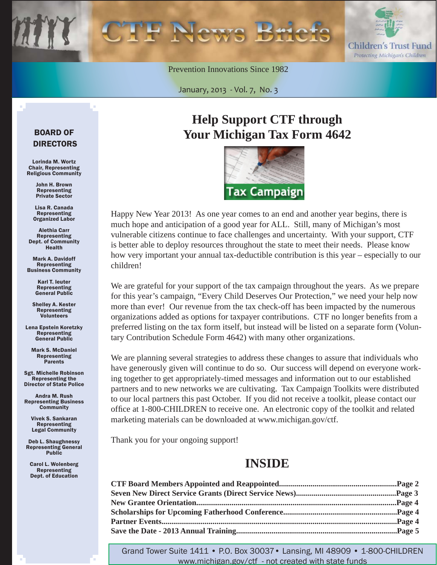

Prevention Innovations Since 1982

January, 2013 - Vol. 7, No. 3

#### BOARD OF DIRECTORS

Lorinda M. Wortz Chair, Representing Religious Community

> John H. Brown Representing Private Sector

Lisa R. Canada Representing Organized Labor

Alethia Carr Representing Dept. of Community Health

Mark A. Davidoff Representing Business Community

> Karl T. Ieuter Representing General Public

Shelley A. Kester Representing Volunteers

Lena Epstein Koretzky Representing General Public

Mark S. McDaniel Representing **Parents** 

Sgt. Michelle Robinson Representing the Director of State Police

Andra M. Rush Representing Business **Community** 

Vivek S. Sankaran Representing Legal Community

Deb L. Shaughnessy Representing General Public

Carol L. Wolenberg Representing Dept. of Education

## **Help Support CTF through Your Michigan Tax Form 4642**



Happy New Year 2013! As one year comes to an end and another year begins, there is much hope and anticipation of a good year for ALL. Still, many of Michigan's most vulnerable citizens continue to face challenges and uncertainty. With your support, CTF is better able to deploy resources throughout the state to meet their needs. Please know how very important your annual tax-deductible contribution is this year – especially to our children!

We are grateful for your support of the tax campaign throughout the years. As we prepare for this year's campaign, "Every Child Deserves Our Protection," we need your help now more than ever! Our revenue from the tax check-off has been impacted by the numerous organizations added as options for taxpayer contributions. CTF no longer benefits from a preferred listing on the tax form itself, but instead will be listed on a separate form (Voluntary Contribution Schedule Form 4642) with many other organizations.

We are planning several strategies to address these changes to assure that individuals who have generously given will continue to do so. Our success will depend on everyone working together to get appropriately-timed messages and information out to our established partners and to new networks we are cultivating. Tax Campaign Toolkits were distributed to our local partners this past October. If you did not receive a toolkit, please contact our office at 1-800-CHILDREN to receive one. An electronic copy of the toolkit and related marketing materials can be downloaded at www.michigan.gov/ctf.

Thank you for your ongoing support!

### **INSIDE**

Grand Tower Suite 1411 • P.O. Box 30037• Lansing, MI 48909 • 1-800-CHILDREN www.michigan.gov/ctf - not created with state funds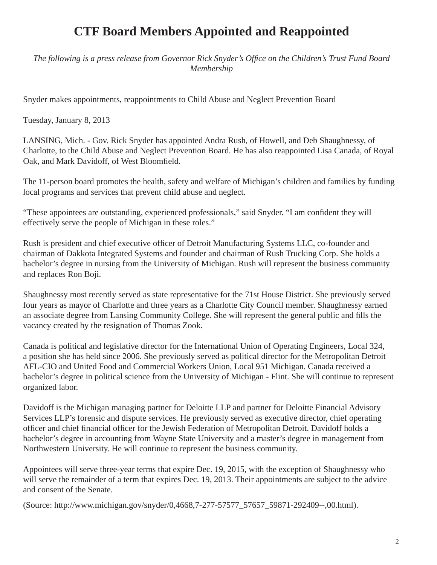## **CTF Board Members Appointed and Reappointed**

*The following is a press release from Governor Rick Snyder's Offi ce on the Children's Trust Fund Board Membership*

Snyder makes appointments, reappointments to Child Abuse and Neglect Prevention Board

Tuesday, January 8, 2013

LANSING, Mich. - Gov. Rick Snyder has appointed Andra Rush, of Howell, and Deb Shaughnessy, of Charlotte, to the Child Abuse and Neglect Prevention Board. He has also reappointed Lisa Canada, of Royal Oak, and Mark Davidoff, of West Bloomfield.

The 11-person board promotes the health, safety and welfare of Michigan's children and families by funding local programs and services that prevent child abuse and neglect.

"These appointees are outstanding, experienced professionals," said Snyder. "I am confident they will effectively serve the people of Michigan in these roles."

Rush is president and chief executive officer of Detroit Manufacturing Systems LLC, co-founder and chairman of Dakkota Integrated Systems and founder and chairman of Rush Trucking Corp. She holds a bachelor's degree in nursing from the University of Michigan. Rush will represent the business community and replaces Ron Boji.

Shaughnessy most recently served as state representative for the 71st House District. She previously served four years as mayor of Charlotte and three years as a Charlotte City Council member. Shaughnessy earned an associate degree from Lansing Community College. She will represent the general public and fills the vacancy created by the resignation of Thomas Zook.

Canada is political and legislative director for the International Union of Operating Engineers, Local 324, a position she has held since 2006. She previously served as political director for the Metropolitan Detroit AFL-CIO and United Food and Commercial Workers Union, Local 951 Michigan. Canada received a bachelor's degree in political science from the University of Michigan - Flint. She will continue to represent organized labor.

Davidoff is the Michigan managing partner for Deloitte LLP and partner for Deloitte Financial Advisory Services LLP's forensic and dispute services. He previously served as executive director, chief operating officer and chief financial officer for the Jewish Federation of Metropolitan Detroit. Davidoff holds a bachelor's degree in accounting from Wayne State University and a master's degree in management from Northwestern University. He will continue to represent the business community.

Appointees will serve three-year terms that expire Dec. 19, 2015, with the exception of Shaughnessy who will serve the remainder of a term that expires Dec. 19, 2013. Their appointments are subject to the advice and consent of the Senate.

(Source: [http://www.michigan.gov/snyder/0,4668,7-277-57577\\_57657\\_59871-292409--,00.html\).](http://www.michigan.gov/snyder/0,4668,7-277-57577_57657_59871-292409--,00.html)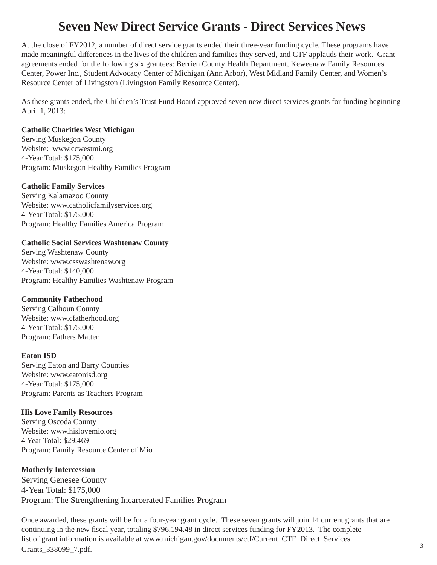### **Seven New Direct Service Grants - Direct Services News**

At the close of FY2012, a number of direct service grants ended their three-year funding cycle. These programs have made meaningful differences in the lives of the children and families they served, and CTF applauds their work. Grant agreements ended for the following six grantees: Berrien County Health Department, Keweenaw Family Resources Center, Power Inc., Student Advocacy Center of Michigan (Ann Arbor), West Midland Family Center, and Women's Resource Center of Livingston (Livingston Family Resource Center).

As these grants ended, the Children's Trust Fund Board approved seven new direct services grants for funding beginning April 1, 2013:

#### **Catholic Charities West Michigan**

Serving Muskegon County Website: www.ccwestmi.org 4-Year Total: \$175,000 Program: Muskegon Healthy Families Program

#### **Catholic Family Services**

Serving Kalamazoo County Website: www.catholicfamilyservices.org 4-Year Total: \$175,000 Program: Healthy Families America Program

#### **Catholic Social Services Washtenaw County**

Serving Washtenaw County Website: www.csswashtenaw.org 4-Year Total: \$140,000 Program: Healthy Families Washtenaw Program

#### **Community Fatherhood**

Serving Calhoun County Website: www.cfatherhood.org 4-Year Total: \$175,000 Program: Fathers Matter

#### **Eaton ISD**

Serving Eaton and Barry Counties Website: www.eatonisd.org 4-Year Total: \$175,000 Program: Parents as Teachers Program

#### **His Love Family Resources**

Serving Oscoda County Website: www.hislovemio.org 4 Year Total: \$29,469 Program: Family Resource Center of Mio

#### **Motherly Intercession**

Serving Genesee County 4-Year Total: \$175,000 Program: The Strengthening Incarcerated Families Program

Once awarded, these grants will be for a four-year grant cycle. These seven grants will join 14 current grants that are continuing in the new fiscal year, totaling \$796,194.48 in direct services funding for FY2013. The complete list of grant information is available at www.michigan.gov/documents/ctf/Current\_CTF\_Direct\_Services Grants\_338099\_7.pdf.  $\frac{338099}{2}$ .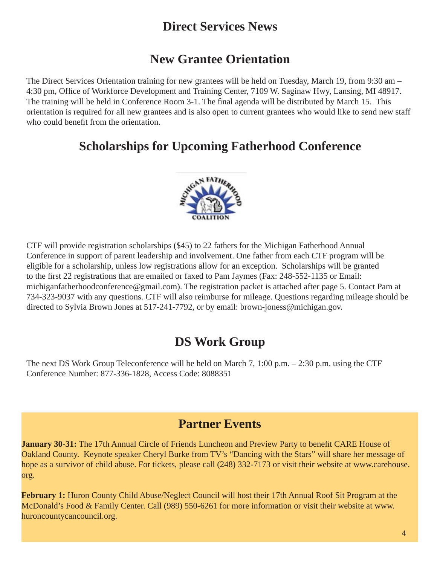### **Direct Services News**

## **New Grantee Orientation**

The Direct Services Orientation training for new grantees will be held on Tuesday, March 19, from 9:30 am – 4:30 pm, Office of Workforce Development and Training Center, 7109 W. Saginaw Hwy, Lansing, MI 48917. The training will be held in Conference Room 3-1. The final agenda will be distributed by March 15. This orientation is required for all new grantees and is also open to current grantees who would like to send new staff who could benefit from the orientation.

### **Scholarships for Upcoming Fatherhood Conference**



CTF will provide registration scholarships (\$45) to 22 fathers for the Michigan Fatherhood Annual Conference in support of parent leadership and involvement. One father from each CTF program will be eligible for a scholarship, unless low registrations allow for an exception. Scholarships will be granted to the first 22 registrations that are emailed or faxed to Pam Jaymes (Fax: 248-552-1135 or Email: michiganfatherhoodconference@gmail.com). The registration packet is attached after page 5. Contact Pam at 734-323-9037 with any questions. CTF will also reimburse for mileage. Questions regarding mileage should be directed to Sylvia Brown Jones at 517-241-7792, or by email: brown-joness@michigan.gov.

### **DS Work Group**

The next DS Work Group Teleconference will be held on March 7, 1:00 p.m. – 2:30 p.m. using the CTF Conference Number: 877-336-1828, Access Code: 8088351

### **Partner Events**

**January 30-31:** The 17th Annual Circle of Friends Luncheon and Preview Party to benefit CARE House of Oakland County. Keynote speaker Cheryl Burke from TV's "Dancing with the Stars" will share her message of [hope as a survivor of child abuse. For tickets, please call \(248\) 332-7173 or visit their website at www.carehouse.](www.carehouse.org) org.

**February 1:** Huron County Child Abuse/Neglect Council will host their 17th Annual Roof Sit Program at the [McDonald's Food & Family Center. Call \(989\) 550-6261 for more information or visit their website at www.](www.huroncountycancouncil.org) huroncountycancouncil.org.